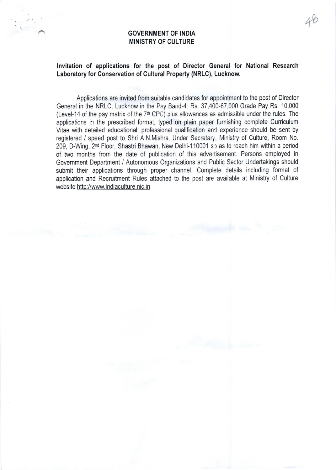## GOVERNMENT OF INDIA MINISTRY OF CULTURE

## lnvitation of applications for the post of Director General for National Research Laboratory for Conservation of Cultural Property (NRLC), Lucknow.

+b

Applications are invited from suitable candidates for appointment to the post of Director General in the NRLC, Lucknow in the Pay Band-4: Rs. 37,400-67,000 Grade Pay Rs. 10,000 (Level-14 of the pay matrix of the  $7<sup>th</sup>$  CPC) plus allowances as admissible under the rules. The applications in the prescribed format, typed on plain paper furnishing complete Curriculum Vitae with detailed educational, professional qualification and experience should be sent by registered / speed post to Shri A.N.Mishra, Under Secretary, Ministry of Culture, Room No. 209, D-Wing, 2<sup>nd</sup> Floor, Shastri Bhawan, New Delhi-110001 so as to reach him within a period of two months from the date of publication of this advertisement. Persons employed in Government Department / Autonomous Organizations and Public Sector Undertakings should submit their applications through proper channel, Complete details including format of application and Recruitment Rules attached to the post are available at Ministry of Culture website http://www.indiaculture.nic.in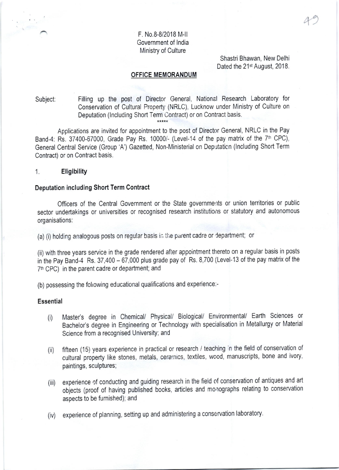## F. No.8-8/2018 M-ll Government of lndia Ministry of Culture

Shastri Bhawan, New Delhi Dated the 21<sup>st</sup> August, 2018. 49

#### OFFICE MEMORANDUM

# Subject: Filling up the post of Director General, National Research Laboratory for Conservation of Cultural Property (NRLC), Lucknow under Ministry of Culture on Deputation (Including Short Term Contract) or on Contract basis.

Applications are invited for appointment to the post of Director General, NRLC in the Pay Band-4: Rs. 37400-67000, Grade Pay Rs. 10000/- (Level-14 of the pay matrix of the  $7<sup>th</sup>$  CPC), General Central Service (Group'A') Gazetted, Non-Ministerial on Deputaticn (lncluding Short Term Contract) or on Contract basis.

#### 1. Eligibility

#### Deputation including Short Term Contract

Officers of the Central Government or the State governments or union territories or public sector undertakings or universities or recognised research institutions or statutory and autonomous organisations:

(a) (i) holding analogous posts on regular basis in the parent cadre or department; or

(ii) with three years service in the grade rendered after appointment thereto on a regular basis in posts in the Pay Band-4 Rs. 37,400 - 67,000 plus grade pay of Rs. 8,700 (Level-13 of the pay matrix of the 7<sup>th</sup> CPC) in the parent cadre or department; and

(b) possessing the fohowing educational qualifications and experience.-

#### Essential

- (i) Master's degree in Chemical/ Physical/ Biological/ Environmental/ Earth Sciences or Bachelor's degree in Engineering or Technology with specialisation in Metallurgy or Material Science from a recognised University; and
- (ii) fifteen (15) years experience in practical or research / teaching :n the field of conservation of cultural property like stones, metals, cerarnics, textiles, wood, manuscripts, bone and ivory, paintings, sculptures;
- (iii) experience of conducting and guiding research in the field of conservation of antiques and art objects (proof of having published books, articles and monographs relating to conservation aspects to be fumished); and
- (iv) experience of planning, setting up and administering a conservation laboratory.